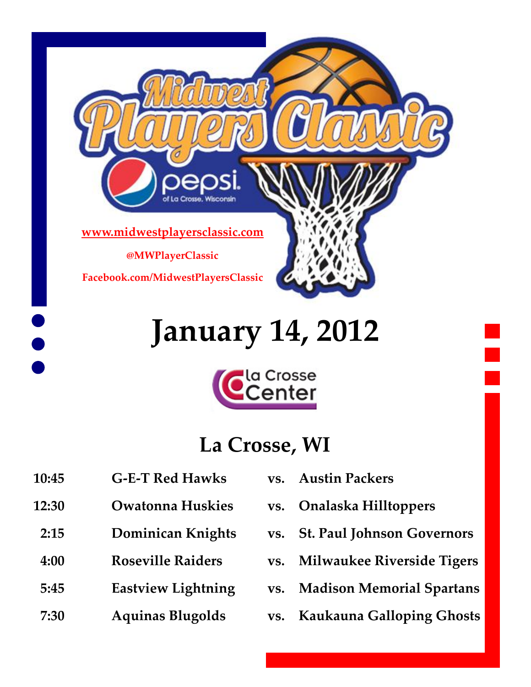

## **January 14, 2012**



#### **La Crosse, WI**

- **10:45 G‐E‐T Red Hawks vs. Austin Packers**
- **12:30 Owatonna Huskies vs. Onalaska Hilltoppers**
- 
- 
- 
- 
- 
- 
- **2:15 Dominican Knights vs. St. Paul Johnson Governors**
- **4:00 Roseville Raiders vs. Milwaukee Riverside Tigers**
- **5:45 Eastview Lightning vs. Madison Memorial Spartans**
- **7:30 Aquinas Blugolds vs. Kaukauna Galloping Ghosts**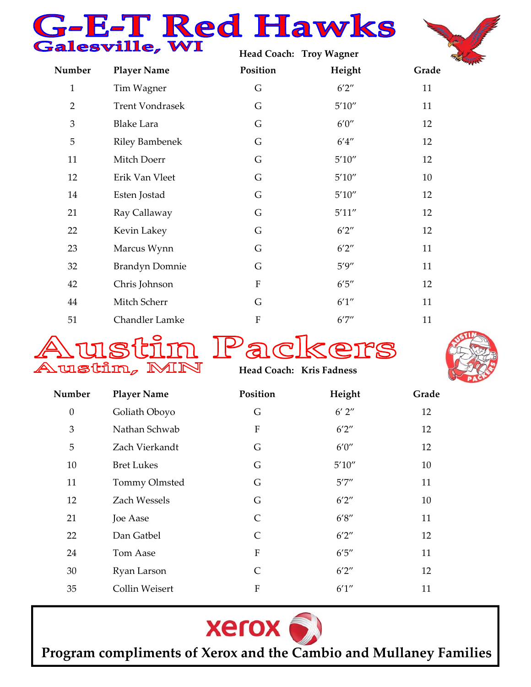# **Hawks**<br>Falesville, WI



|                |                        |             | Head Coach: Troy Wagner |       |
|----------------|------------------------|-------------|-------------------------|-------|
| Number         | <b>Player Name</b>     | Position    | Height                  | Grade |
| $\mathbf{1}$   | Tim Wagner             | G           | 6'2''                   | 11    |
| $\overline{2}$ | <b>Trent Vondrasek</b> | G           | 5'10''                  | 11    |
| 3              | <b>Blake Lara</b>      | G           | 6'0''                   | 12    |
| 5              | <b>Riley Bambenek</b>  | G           | 6'4''                   | 12    |
| 11             | Mitch Doerr            | G           | $5'10''$                | 12    |
| 12             | Erik Van Vleet         | G           | $5'10''$                | 10    |
| 14             | Esten Jostad           | G           | 5'10''                  | 12    |
| 21             | Ray Callaway           | G           | 5'11''                  | 12    |
| 22             | Kevin Lakey            | G           | 6'2''                   | 12    |
| 23             | Marcus Wynn            | G           | 6'2''                   | 11    |
| 32             | <b>Brandyn Domnie</b>  | G           | 5'9''                   | 11    |
| 42             | Chris Johnson          | ${\bf F}$   | 6'5''                   | 12    |
| 44             | Mitch Scherr           | G           | 6'1''                   | 11    |
| 51             | <b>Chandler Lamke</b>  | $\mathbf F$ | 6'7''                   | 11    |







**Head Coach: Kris Fadness** 

| Number           | <b>Player Name</b> | Position     | Height     | Grade |
|------------------|--------------------|--------------|------------|-------|
| $\boldsymbol{0}$ | Goliath Oboyo      | G            | $6'$ $2''$ | 12    |
| 3                | Nathan Schwab      | F            | 6'2''      | 12    |
| 5                | Zach Vierkandt     | G            | 6'0''      | 12    |
| 10               | <b>Bret Lukes</b>  | G            | 5'10''     | 10    |
| 11               | Tommy Olmsted      | G            | 5'7''      | 11    |
| 12               | Zach Wessels       | G            | 6'2''      | 10    |
| 21               | Joe Aase           | C            | 6'8''      | 11    |
| 22               | Dan Gatbel         | C            | 6'2''      | 12    |
| 24               | Tom Aase           | $\mathbf F$  | 6'5''      | 11    |
| 30               | Ryan Larson        | $\mathsf{C}$ | 6'2''      | 12    |
| 35               | Collin Weisert     | F            | 6'1''      | 11    |



**Program compliments of Xerox and the Cambio and Mullaney Families**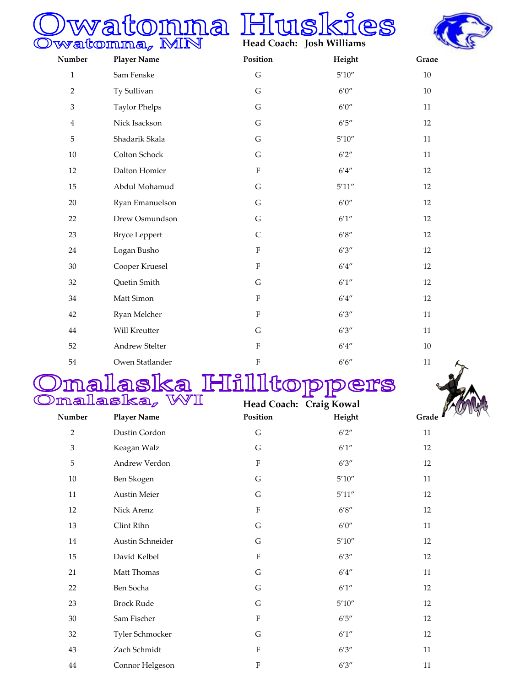# Owatonna, MN Huskies





| Number                    | <b>Player Name</b>   | Position                  | Height                       | Grade  |
|---------------------------|----------------------|---------------------------|------------------------------|--------|
| $\mathbf{1}$              | Sam Fenske           | $\mathsf G$               | $5'10''$                     | $10\,$ |
| $\overline{2}$            | Ty Sullivan          | ${\bf G}$                 | 6'0''                        | $10\,$ |
| $\ensuremath{\mathsf{3}}$ | <b>Taylor Phelps</b> | G                         | 6'0''                        | $11\,$ |
| $\overline{4}$            | Nick Isackson        | G                         | $6'5''$                      | 12     |
| 5                         | Shadarik Skala       | G                         | $5'10''$                     | 11     |
| 10                        | Colton Schock        | ${\bf G}$                 | $6'2''$                      | 11     |
| 12                        | Dalton Homier        | ${\bf F}$                 | $6'4''$                      | 12     |
| 15                        | Abdul Mohamud        | ${\bf G}$                 | $5^\prime 11^{\prime\prime}$ | 12     |
| $20\,$                    | Ryan Emanuelson      | ${\bf G}$                 | $6'0''$                      | 12     |
| 22                        | Drew Osmundson       | G                         | $6'1''$                      | 12     |
| 23                        | <b>Bryce Leppert</b> | $\mathsf C$               | 6'8''                        | 12     |
| 24                        | Logan Busho          | $\boldsymbol{\mathrm{F}}$ | 6'3''                        | 12     |
| 30                        | Cooper Kruesel       | ${\bf F}$                 | $6'4''$                      | 12     |
| 32                        | Quetin Smith         | ${\bf G}$                 | 6'1''                        | 12     |
| 34                        | Matt Simon           | $\rm F$                   | 6'4''                        | 12     |
| 42                        | Ryan Melcher         | $\boldsymbol{\mathrm{F}}$ | 6'3''                        | 11     |
| 44                        | Will Kreutter        | ${\bf G}$                 | 6'3''                        | 11     |
| 52                        | Andrew Stelter       | ${\bf F}$                 | $6'4''$                      | $10\,$ |
| 54                        | Owen Statlander      | ${\bf F}$                 | $6'6''$                      | $11\,$ |
|                           |                      |                           |                              |        |

## Omalaska Hiilltoppers



| Francismovan AAF |                    | Head Coach: Craig Kowal   |                              |       |
|------------------|--------------------|---------------------------|------------------------------|-------|
| Number           | <b>Player Name</b> | Position                  | Height                       | Grade |
| $\overline{2}$   | Dustin Gordon      | $\mathsf G$               | 6'2''                        | 11    |
| $\mathfrak{Z}$   | Keagan Walz        | G                         | $6^\prime1^{\prime\prime}$   | 12    |
| 5                | Andrew Verdon      | ${\bf F}$                 | 6'3''                        | 12    |
| 10               | Ben Skogen         | G                         | $5^\prime 10^{\prime\prime}$ | 11    |
| $11\,$           | Austin Meier       | G                         | $5^\prime11^{\prime\prime}$  | 12    |
| 12               | Nick Arenz         | ${\bf F}$                 | $6'8''$                      | 12    |
| 13               | Clint Rihn         | ${\mathsf G}$             | $6'0''$                      | 11    |
| $14\,$           | Austin Schneider   | G                         | $5'10''$                     | 12    |
| 15               | David Kelbel       | ${\bf F}$                 | 6'3''                        | 12    |
| 21               | Matt Thomas        | G                         | $6'4''$                      | 11    |
| 22               | Ben Socha          | G                         | 6'1''                        | 12    |
| 23               | <b>Brock Rude</b>  | G                         | 5'10''                       | 12    |
| $30\,$           | Sam Fischer        | ${\bf F}$                 | $6'5''$                      | 12    |
| 32               | Tyler Schmocker    | G                         | 6'1''                        | 12    |
| 43               | Zach Schmidt       | ${\bf F}$                 | 6'3''                        | 11    |
| 44               | Connor Helgeson    | $\boldsymbol{\mathrm{F}}$ | 6'3''                        | 11    |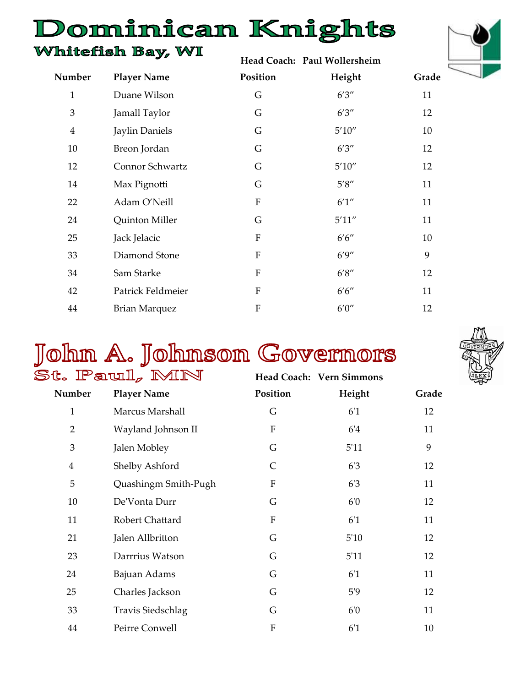### Dominican Knights

#### Whitefish Bay, WI

**Head Coach: Paul Wollersheim** 



| Number         | <b>Player Name</b>   | Position    | Height  | Grade |
|----------------|----------------------|-------------|---------|-------|
| $\mathbf{1}$   | Duane Wilson         | G           | 6'3''   | 11    |
| 3              | Jamall Taylor        | G           | 6'3''   | 12    |
| $\overline{4}$ | Jaylin Daniels       | G           | 5'10''  | 10    |
| 10             | Breon Jordan         | G           | 6'3''   | 12    |
| 12             | Connor Schwartz      | G           | 5'10''  | 12    |
| 14             | Max Pignotti         | G           | $5'8''$ | 11    |
| 22             | Adam O'Neill         | ${\bf F}$   | 6'1''   | 11    |
| 24             | Quinton Miller       | G           | 5'11''  | 11    |
| 25             | Jack Jelacic         | $\mathbf F$ | 6'6''   | 10    |
| 33             | Diamond Stone        | $\mathbf F$ | 6'9''   | 9     |
| 34             | Sam Starke           | $\mathbf F$ | 6'8''   | 12    |
| 42             | Patrick Feldmeier    | F           | 6'6''   | 11    |
| 44             | <b>Brian Marquez</b> | ${\bf F}$   | 6'0''   | 12    |

## John A. Johnson Governors



|                | t. IPaull, MIN       |              | Head Coach: Vern Simmons |       |
|----------------|----------------------|--------------|--------------------------|-------|
| Number         | <b>Player Name</b>   | Position     | Height                   | Grade |
| $\mathbf{1}$   | Marcus Marshall      | G            | 6 <sup>'</sup> 1         | 12    |
| $\overline{2}$ | Wayland Johnson II   | ${\bf F}$    | 6'4                      | 11    |
| 3              | Jalen Mobley         | G            | 5'11                     | 9     |
| $\overline{4}$ | Shelby Ashford       | $\mathsf{C}$ | 6'3                      | 12    |
| 5              | Quashingm Smith-Pugh | ${\bf F}$    | 6'3                      | 11    |
| 10             | De'Vonta Durr        | G            | 6'0                      | 12    |
| 11             | Robert Chattard      | ${\bf F}$    | 6 <sup>'</sup> 1         | 11    |
| 21             | Jalen Allbritton     | G            | 5'10                     | 12    |
| 23             | Darrrius Watson      | G            | 5'11                     | 12    |
| 24             | Bajuan Adams         | G            | 6 <sup>'</sup> 1         | 11    |
| 25             | Charles Jackson      | G            | 5'9                      | 12    |
| 33             | Travis Siedschlag    | G            | 6'0                      | 11    |
| 44             | Peirre Conwell       | ${\bf F}$    | 6 <sup>'</sup> 1         | 10    |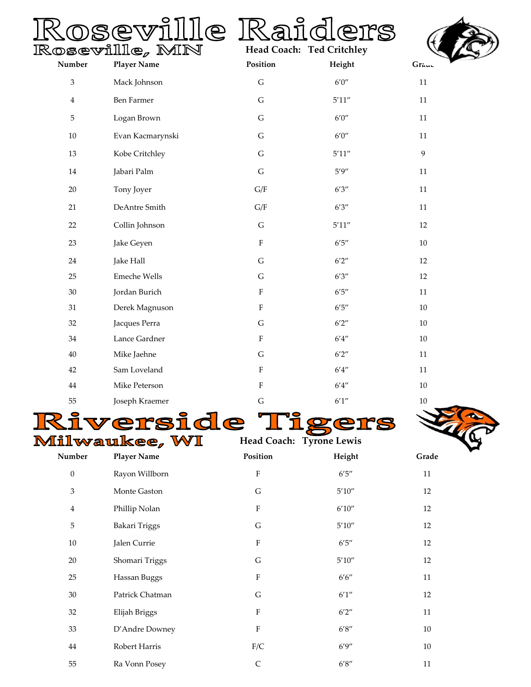# Roseville Raiders





| Number           | <b>Player Name</b>   | Position                  | Height                       | Grauc          |
|------------------|----------------------|---------------------------|------------------------------|----------------|
| 3                | Mack Johnson         | ${\bf G}$                 | $6'0''$                      | $11\,$         |
| $\overline{4}$   | Ben Farmer           | ${\mathsf G}$             | $5^\prime 11^{\prime\prime}$ | $11\,$         |
| 5                | Logan Brown          | ${\mathsf G}$             | $6'0''$                      | $11\,$         |
| $10\,$           | Evan Kacmarynski     | ${\mathsf G}$             | $6'0''$                      | $11\,$         |
| 13               | Kobe Critchley       | ${\bf G}$                 | $5^\prime 11^{\prime\prime}$ | $\overline{9}$ |
| $14\,$           | Jabari Palm          | ${\mathsf G}$             | $5'9''$                      | $11\,$         |
| $20\,$           | Tony Joyer           | G/F                       | $6'3''$                      | $11\,$         |
| 21               | DeAntre Smith        | G/F                       | $6'3''$                      | $11\,$         |
| 22               | Collin Johnson       | ${\mathsf G}$             | $5^\prime 11^{\prime\prime}$ | 12             |
| 23               | Jake Geyen           | $\rm F$                   | $6^\prime 5^{\prime\prime}$  | $10\,$         |
| 24               | Jake Hall            | ${\mathsf G}$             | 6'2''                        | 12             |
| 25               | Emeche Wells         | ${\mathsf G}$             | $6'3''$                      | 12             |
| $30\,$           | Jordan Burich        | $\boldsymbol{\mathrm{F}}$ | $6^\prime 5^{\prime\prime}$  | $11\,$         |
| 31               | Derek Magnuson       | $\boldsymbol{\mathrm{F}}$ | $6^\prime 5^{\prime\prime}$  | $10\,$         |
| 32               | Jacques Perra        | ${\bf G}$                 | $6'2''$                      | $10\,$         |
| 34               | Lance Gardner        | $\boldsymbol{\mathrm{F}}$ | $6^\prime 4^{\prime\prime}$  | $10\,$         |
| 40               | Mike Jaehne          | ${\mathsf G}$             | $6'2''$                      | $11\,$         |
| 42               | Sam Loveland         | F                         | $6^\prime 4^{\prime\prime}$  | $11\,$         |
| $44\,$           | Mike Peterson        | $\boldsymbol{\mathrm{F}}$ | $6^\prime 4^{\prime\prime}$  | $10\,$         |
| 55               | Joseph Kraemer       | ${\bf G}$                 | $6^\prime1^{\prime\prime}$   | $10\,$         |
|                  |                      | le                        |                              |                |
|                  | <b>Milwaukee, WI</b> | Head Coach: Tyrone Lewis  |                              |                |
| Number           | <b>Player Name</b>   | Position                  | Height                       | Grade          |
| $\boldsymbol{0}$ | Rayon Willborn       | ${\bf F}$                 | $6^{\prime}5^{\prime\prime}$ | $11\,$         |
| $\,3$            | Monte Gaston         | ${\bf G}$                 | $5^\prime 10^{\prime\prime}$ | 12             |
| $\overline{4}$   | Phillip Nolan        | $\rm F$                   | $6^\prime 10^{\prime\prime}$ | 12             |
| 5                | Bakari Triggs        | ${\mathsf G}$             | $5^\prime 10^{\prime\prime}$ | 12             |
| $10\,$           | Jalen Currie         | ${\bf F}$                 | $6^{\prime}5^{\prime\prime}$ | 12             |
| $20\,$           | Shomari Triggs       | ${\bf G}$                 | $5^\prime 10^{\prime\prime}$ | $12\,$         |
| 25               | Hassan Buggs         | ${\bf F}$                 | $6'6''$                      | 11             |
| $30\,$           | Patrick Chatman      | ${\bf G}$                 | $6^\prime1^{\prime\prime}$   | $12\,$         |
| $32\,$           | Elijah Briggs        | ${\bf F}$                 | $6'2''$                      | 11             |
| 33               | D'Andre Downey       | ${\bf F}$                 | $6^\prime8^{\prime\prime}$   | $10\,$         |
| $44\,$           | Robert Harris        | ${\rm F/C}$               | 6'9''                        | $10\,$         |
| 55               | Ra Vonn Posey        | $\mathsf C$               | $6^\prime8^{\prime\prime}$   | $11\,$         |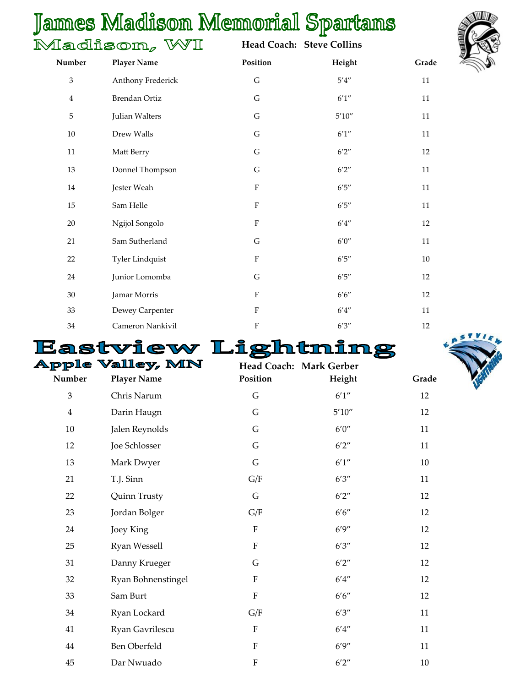#### James Madison Memorial Spartans  $\mathbb{N}$

|                             | $\Lambda$ adison, WI   |                           | Head Coach: Steve Collins    |       |
|-----------------------------|------------------------|---------------------------|------------------------------|-------|
| Number                      | <b>Player Name</b>     | Position                  | Height                       | Grade |
| $\ensuremath{\mathfrak{Z}}$ | Anthony Frederick      | ${\mathsf G}$             | $5^{\prime}4^{\prime\prime}$ | 11    |
| $\overline{4}$              | Brendan Ortiz          | G                         | 6'1''                        | 11    |
| 5                           | Julian Walters         | G                         | 5'10''                       | 11    |
| 10                          | Drew Walls             | G                         | 6'1''                        | 11    |
| 11                          | Matt Berry             | G                         | 6'2''                        | 12    |
| 13                          | Donnel Thompson        | G                         | 6'2''                        | 11    |
| 14                          | Jester Weah            | $\rm F$                   | $6'5''$                      | 11    |
| 15                          | Sam Helle              | $\rm F$                   | 6'5''                        | 11    |
| 20                          | Ngijol Songolo         | $\rm F$                   | 6'4''                        | 12    |
| 21                          | Sam Sutherland         | G                         | $6'0''$                      | 11    |
| 22                          | <b>Tyler Lindquist</b> | $\rm F$                   | $6'5''$                      | 10    |
| 24                          | Junior Lomomba         | G                         | 6'5''                        | 12    |
| 30                          | Jamar Morris           | $\mathbf F$               | 6'6''                        | 12    |
| 33                          | Dewey Carpenter        | $\mathbf F$               | 6'4''                        | 11    |
| 34                          | Cameron Nankivil       | $\boldsymbol{\mathrm{F}}$ | 6'3''                        | 12    |



|                | Eastview Li         |                         |         |       |
|----------------|---------------------|-------------------------|---------|-------|
|                | Apple Valley, MN    | Head Coach: Mark Gerber |         |       |
| Number         | <b>Player Name</b>  | Position                | Height  | Grade |
| $\mathfrak{Z}$ | Chris Narum         | $\mathsf G$             | 6'1''   | 12    |
| $\overline{4}$ | Darin Haugn         | G                       | 5'10''  | 12    |
| 10             | Jalen Reynolds      | G                       | 6'0''   | 11    |
| 12             | Joe Schlosser       | G                       | 6'2''   | 11    |
| 13             | Mark Dwyer          | G                       | 6'1''   | 10    |
| 21             | T.J. Sinn           | G/F                     | 6'3''   | 11    |
| 22             | Quinn Trusty        | $\mathsf G$             | 6'2''   | 12    |
| 23             | Jordan Bolger       | G/F                     | 6'6''   | 12    |
| 24             | Joey King           | ${\bf F}$               | 6'9''   | 12    |
| 25             | Ryan Wessell        | ${\bf F}$               | 6'3''   | 12    |
| 31             | Danny Krueger       | G                       | 6'2''   | 12    |
| 32             | Ryan Bohnenstingel  | ${\bf F}$               | $6'4''$ | 12    |
| 33             | Sam Burt            | ${\bf F}$               | $6'6''$ | 12    |
| 34             | Ryan Lockard        | G/F                     | 6'3''   | 11    |
| 41             | Ryan Gavrilescu     | ${\bf F}$               | 6'4''   | 11    |
| 44             | <b>Ben Oberfeld</b> | ${\bf F}$               | 6'9''   | 11    |
| 45             | Dar Nwuado          | $\overline{F}$          | 6'2''   | 10    |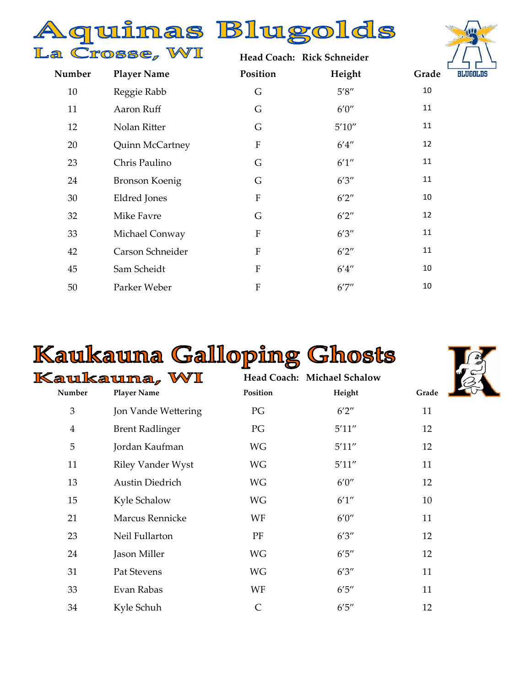#### Aquinas Blugolds La Crosse, WI Hoad Coach: Rick Schnoider



|        |                       |                           | Head Coach: Alck Schneider |     |
|--------|-----------------------|---------------------------|----------------------------|-----|
| Number | <b>Player Name</b>    | Position                  | Height                     | Gra |
| 10     | Reggie Rabb           | G                         | 5'8''                      | 10  |
| 11     | Aaron Ruff            | G                         | $6'0''$                    | 11  |
| 12     | Nolan Ritter          | G                         | 5'10''                     | 11  |
| 20     | Quinn McCartney       | $\boldsymbol{\mathrm{F}}$ | 6'4''                      | 12  |
| 23     | Chris Paulino         | G                         | 6'1''                      | 11  |
| 24     | <b>Bronson Koenig</b> | G                         | 6'3''                      | 11  |
| 30     | Eldred Jones          | ${\bf F}$                 | 6'2''                      | 10  |
| 32     | Mike Favre            | G                         | 6'2''                      | 12  |
| 33     | Michael Conway        | ${\bf F}$                 | 6'3''                      | 11  |
| 42     | Carson Schneider      | ${\bf F}$                 | 6'2''                      | 11  |
| 45     | Sam Scheidt           | ${\bf F}$                 | 6'4''                      | 10  |
| 50     | Parker Weber          | ${\bf F}$                 | 6'7''                      | 10  |
|        |                       |                           |                            |     |

### Kaukauna Galloping Ghosts



|                | Kaukauna, WI             | Head Coach: Michael Schalow |        |      |
|----------------|--------------------------|-----------------------------|--------|------|
| Number         | <b>Player Name</b>       | Position                    | Height | Grad |
| 3              | Jon Vande Wettering      | PG                          | 6'2''  | 11   |
| $\overline{4}$ | <b>Brent Radlinger</b>   | PG                          | 5'11'' | 12   |
| 5              | Jordan Kaufman           | WG                          | 5'11'' | 12   |
| 11             | <b>Riley Vander Wyst</b> | WG                          | 5'11'' | 11   |
| 13             | Austin Diedrich          | WG                          | 6'0''  | 12   |
| 15             | Kyle Schalow             | WG                          | 6'1''  | 10   |
| 21             | Marcus Rennicke          | WF                          | 6'0''  | 11   |
| 23             | Neil Fullarton           | PF                          | 6'3''  | 12   |
| 24             | Jason Miller             | WG                          | 6'5''  | 12   |
| 31             | Pat Stevens              | <b>WG</b>                   | 6'3''  | 11   |
| 33             | Evan Rabas               | WF                          | 6'5''  | 11   |
| 34             | Kyle Schuh               | $\mathsf{C}$                | 6'5''  | 12   |